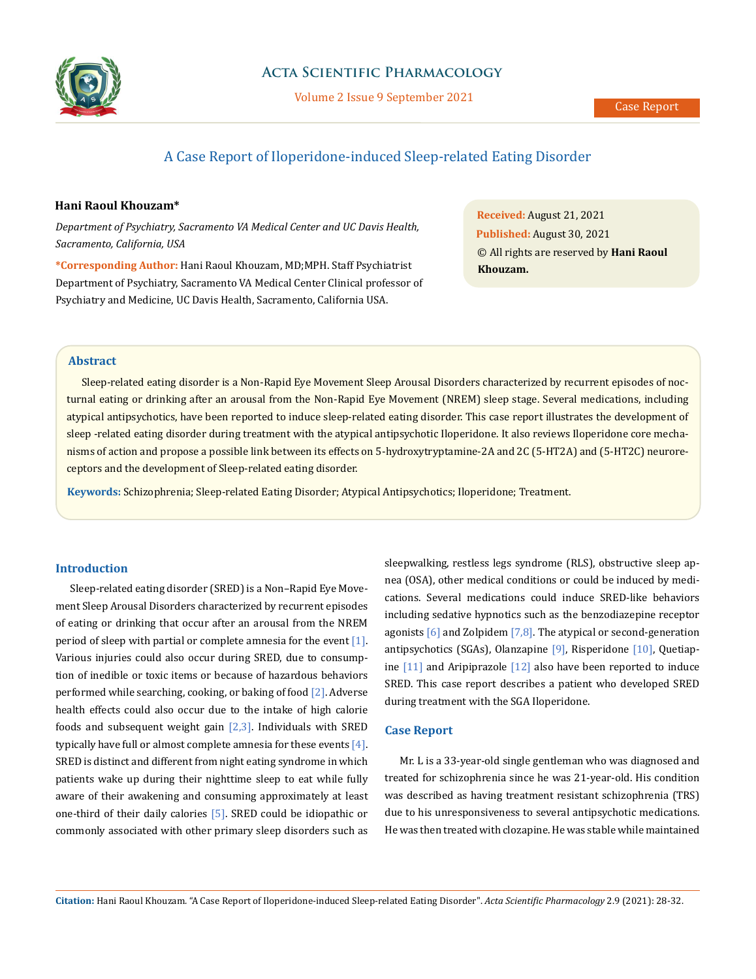

# **Acta Scientific Pharmacology**

Volume 2 Issue 9 September 2021

# A Case Report of Iloperidone-induced Sleep-related Eating Disorder

# **Hani Raoul Khouzam\***

*Department of Psychiatry, Sacramento VA Medical Center and UC Davis Health, Sacramento, California, USA*

**\*Corresponding Author:** Hani Raoul Khouzam, MD;MPH. Staff Psychiatrist Department of Psychiatry, Sacramento VA Medical Center Clinical professor of Psychiatry and Medicine, UC Davis Health, Sacramento, California USA.

**Received:** August 21, 2021 **Published:** August 30, 2021 © All rights are reserved by **Hani Raoul Khouzam.**

# **Abstract**

Sleep-related eating disorder is a Non-Rapid Eye Movement Sleep Arousal Disorders characterized by recurrent episodes of nocturnal eating or drinking after an arousal from the Non-Rapid Eye Movement (NREM) sleep stage. Several medications, including atypical antipsychotics, have been reported to induce sleep-related eating disorder. This case report illustrates the development of sleep -related eating disorder during treatment with the atypical antipsychotic Iloperidone. It also reviews Iloperidone core mechanisms of action and propose a possible link between its effects on 5-hydroxytryptamine-2A and 2C (5-HT2A) and (5-HT2C) neuroreceptors and the development of Sleep-related eating disorder.

**Keywords:** Schizophrenia; Sleep-related Eating Disorder; Atypical Antipsychotics; Iloperidone; Treatment.

# **Introduction**

Sleep-related eating disorder (SRED) is a Non–Rapid Eye Movement Sleep Arousal Disorders characterized by recurrent episodes of eating or drinking that occur after an arousal from the NREM period of sleep with partial or complete amnesia for the event [1]. Various injuries could also occur during SRED, due to consumption of inedible or toxic items or because of hazardous behaviors performed while searching, cooking, or baking of food [2]. Adverse health effects could also occur due to the intake of high calorie foods and subsequent weight gain  $[2,3]$ . Individuals with SRED typically have full or almost complete amnesia for these events  $[4]$ . SRED is distinct and different from night eating syndrome in which patients wake up during their nighttime sleep to eat while fully aware of their awakening and consuming approximately at least one-third of their daily calories [5]. SRED could be idiopathic or commonly associated with other primary sleep disorders such as

sleepwalking, restless legs syndrome (RLS), obstructive sleep apnea (OSA), other medical conditions or could be induced by medications. Several medications could induce SRED-like behaviors including sedative hypnotics such as the benzodiazepine receptor agonists  $[6]$  and Zolpidem  $[7,8]$ . The atypical or second-generation antipsychotics (SGAs), Olanzapine [9], Risperidone [10], Quetiapine [11] and Aripiprazole [12] also have been reported to induce SRED. This case report describes a patient who developed SRED during treatment with the SGA Iloperidone.

## **Case Report**

Mr. L is a 33-year-old single gentleman who was diagnosed and treated for schizophrenia since he was 21-year-old. His condition was described as having treatment resistant schizophrenia (TRS) due to his unresponsiveness to several antipsychotic medications. He was then treated with clozapine. He was stable while maintained

**Citation:** Hani Raoul Khouzam*.* "A Case Report of Iloperidone-induced Sleep-related Eating Disorder". *Acta Scientific Pharmacology* 2.9 (2021): 28-32.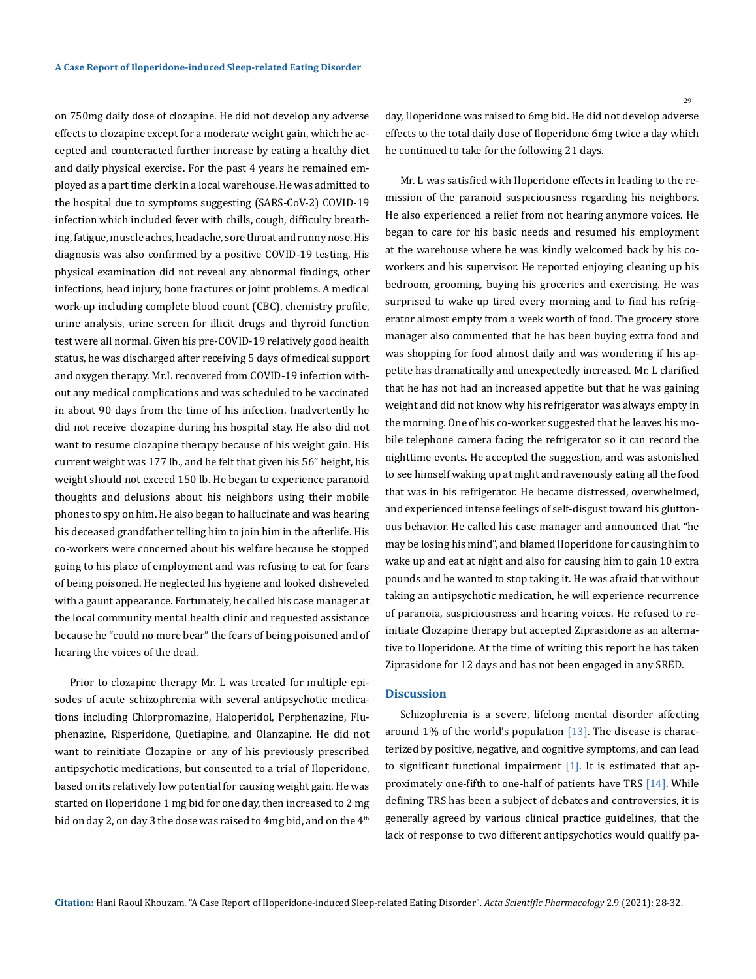on 750mg daily dose of clozapine. He did not develop any adverse effects to clozapine except for a moderate weight gain, which he accepted and counteracted further increase by eating a healthy diet and daily physical exercise. For the past 4 years he remained employed as a part time clerk in a local warehouse. He was admitted to the hospital due to symptoms suggesting (SARS-CoV-2) COVID-19 infection which included fever with chills, cough, difficulty breathing, fatigue, muscle aches, headache, sore throat and runny nose. His diagnosis was also confirmed by a positive COVID-19 testing. His physical examination did not reveal any abnormal findings, other infections, head injury, bone fractures or joint problems. A medical work-up including complete blood count (CBC), chemistry profile, urine analysis, urine screen for illicit drugs and thyroid function test were all normal. Given his pre-COVID-19 relatively good health status, he was discharged after receiving 5 days of medical support and oxygen therapy. Mr.L recovered from COVID-19 infection without any medical complications and was scheduled to be vaccinated in about 90 days from the time of his infection. Inadvertently he did not receive clozapine during his hospital stay. He also did not want to resume clozapine therapy because of his weight gain. His current weight was 177 lb., and he felt that given his 56" height, his weight should not exceed 150 lb. He began to experience paranoid thoughts and delusions about his neighbors using their mobile phones to spy on him. He also began to hallucinate and was hearing his deceased grandfather telling him to join him in the afterlife. His co-workers were concerned about his welfare because he stopped going to his place of employment and was refusing to eat for fears of being poisoned. He neglected his hygiene and looked disheveled with a gaunt appearance. Fortunately, he called his case manager at the local community mental health clinic and requested assistance because he "could no more bear" the fears of being poisoned and of hearing the voices of the dead.

Prior to clozapine therapy Mr. L was treated for multiple episodes of acute schizophrenia with several antipsychotic medications including Chlorpromazine, Haloperidol, Perphenazine, Fluphenazine, Risperidone, Quetiapine, and Olanzapine. He did not want to reinitiate Clozapine or any of his previously prescribed antipsychotic medications, but consented to a trial of Iloperidone, based on its relatively low potential for causing weight gain. He was started on Iloperidone 1 mg bid for one day, then increased to 2 mg bid on day 2, on day 3 the dose was raised to 4mg bid, and on the  $4<sup>th</sup>$  day, Iloperidone was raised to 6mg bid. He did not develop adverse effects to the total daily dose of Iloperidone 6mg twice a day which he continued to take for the following 21 days.

Mr. L was satisfied with Iloperidone effects in leading to the remission of the paranoid suspiciousness regarding his neighbors. He also experienced a relief from not hearing anymore voices. He began to care for his basic needs and resumed his employment at the warehouse where he was kindly welcomed back by his coworkers and his supervisor. He reported enjoying cleaning up his bedroom, grooming, buying his groceries and exercising. He was surprised to wake up tired every morning and to find his refrigerator almost empty from a week worth of food. The grocery store manager also commented that he has been buying extra food and was shopping for food almost daily and was wondering if his appetite has dramatically and unexpectedly increased. Mr. L clarified that he has not had an increased appetite but that he was gaining weight and did not know why his refrigerator was always empty in the morning. One of his co-worker suggested that he leaves his mobile telephone camera facing the refrigerator so it can record the nighttime events. He accepted the suggestion, and was astonished to see himself waking up at night and ravenously eating all the food that was in his refrigerator. He became distressed, overwhelmed, and experienced intense feelings of self-disgust toward his gluttonous behavior. He called his case manager and announced that "he may be losing his mind", and blamed Iloperidone for causing him to wake up and eat at night and also for causing him to gain 10 extra pounds and he wanted to stop taking it. He was afraid that without taking an antipsychotic medication, he will experience recurrence of paranoia, suspiciousness and hearing voices. He refused to reinitiate Clozapine therapy but accepted Ziprasidone as an alternative to Iloperidone. At the time of writing this report he has taken Ziprasidone for 12 days and has not been engaged in any SRED.

#### **Discussion**

Schizophrenia is a severe, lifelong mental disorder affecting around 1% of the world's population  $[13]$ . The disease is characterized by positive, negative, and cognitive symptoms, and can lead to significant functional impairment  $[1]$ . It is estimated that approximately one-fifth to one-half of patients have TRS [14]. While defining TRS has been a subject of debates and controversies, it is generally agreed by various clinical practice guidelines, that the lack of response to two different antipsychotics would qualify pa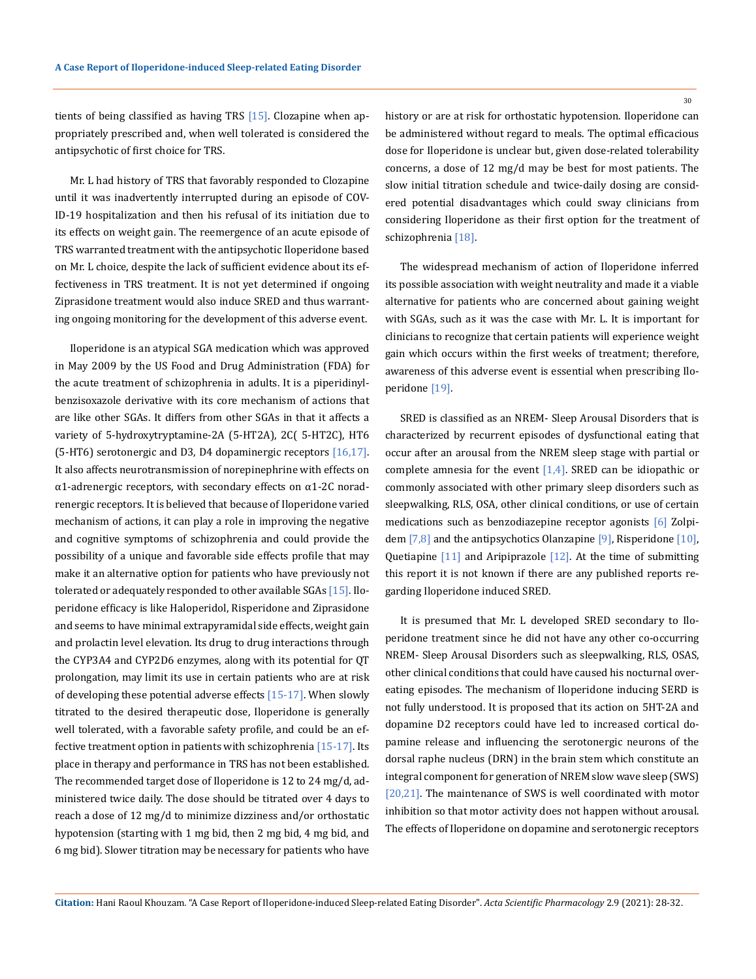tients of being classified as having TRS [15]. Clozapine when appropriately prescribed and, when well tolerated is considered the antipsychotic of first choice for TRS.

Mr. L had history of TRS that favorably responded to Clozapine until it was inadvertently interrupted during an episode of COV-ID-19 hospitalization and then his refusal of its initiation due to its effects on weight gain. The reemergence of an acute episode of TRS warranted treatment with the antipsychotic Iloperidone based on Mr. L choice, despite the lack of sufficient evidence about its effectiveness in TRS treatment. It is not yet determined if ongoing Ziprasidone treatment would also induce SRED and thus warranting ongoing monitoring for the development of this adverse event.

Iloperidone is an atypical SGA medication which was approved in May 2009 by the US Food and Drug Administration (FDA) for the acute treatment of schizophrenia in adults. It is a piperidinylbenzisoxazole derivative with its core mechanism of actions that are like other SGAs. It differs from other SGAs in that it affects a variety of 5-hydroxytryptamine-2A (5-HT2A), 2C( 5-HT2C), HT6 (5-HT6) serotonergic and D3, D4 dopaminergic receptors [16,17]. It also affects neurotransmission of norepinephrine with effects on  $\alpha$ 1-adrenergic receptors, with secondary effects on  $\alpha$ 1-2C noradrenergic receptors. It is believed that because of Iloperidone varied mechanism of actions, it can play a role in improving the negative and cognitive symptoms of schizophrenia and could provide the possibility of a unique and favorable side effects profile that may make it an alternative option for patients who have previously not tolerated or adequately responded to other available SGAs [15]. Iloperidone efficacy is like Haloperidol, Risperidone and Ziprasidone and seems to have minimal extrapyramidal side effects, weight gain and prolactin level elevation. Its drug to drug interactions through the CYP3A4 and CYP2D6 enzymes, along with its potential for QT prolongation, may limit its use in certain patients who are at risk of developing these potential adverse effects  $[15-17]$ . When slowly titrated to the desired therapeutic dose, Iloperidone is generally well tolerated, with a favorable safety profile, and could be an effective treatment option in patients with schizophrenia  $[15-17]$ . Its place in therapy and performance in TRS has not been established. The recommended target dose of Iloperidone is 12 to 24 mg/d, administered twice daily. The dose should be titrated over 4 days to reach a dose of 12 mg/d to minimize dizziness and/or orthostatic hypotension (starting with 1 mg bid, then 2 mg bid, 4 mg bid, and 6 mg bid). Slower titration may be necessary for patients who have

history or are at risk for orthostatic hypotension. Iloperidone can be administered without regard to meals. The optimal efficacious dose for Iloperidone is unclear but, given dose-related tolerability concerns, a dose of 12 mg/d may be best for most patients. The slow initial titration schedule and twice-daily dosing are considered potential disadvantages which could sway clinicians from considering Iloperidone as their first option for the treatment of schizophrenia [18].

The widespread mechanism of action of Iloperidone inferred its possible association with weight neutrality and made it a viable alternative for patients who are concerned about gaining weight with SGAs, such as it was the case with Mr. L. It is important for clinicians to recognize that certain patients will experience weight gain which occurs within the first weeks of treatment; therefore, awareness of this adverse event is essential when prescribing Iloperidone [19].

SRED is classified as an NREM- Sleep Arousal Disorders that is characterized by recurrent episodes of dysfunctional eating that occur after an arousal from the NREM sleep stage with partial or complete amnesia for the event  $[1,4]$ . SRED can be idiopathic or commonly associated with other primary sleep disorders such as sleepwalking, RLS, OSA, other clinical conditions, or use of certain medications such as benzodiazepine receptor agonists [6] Zolpidem  $[7,8]$  and the antipsychotics Olanzapine  $[9]$ , Risperidone  $[10]$ , Quetiapine [11] and Aripiprazole [12]. At the time of submitting this report it is not known if there are any published reports regarding Iloperidone induced SRED.

It is presumed that Mr. L developed SRED secondary to Iloperidone treatment since he did not have any other co-occurring NREM- Sleep Arousal Disorders such as sleepwalking, RLS, OSAS, other clinical conditions that could have caused his nocturnal overeating episodes. The mechanism of Iloperidone inducing SERD is not fully understood. It is proposed that its action on 5HT-2A and dopamine D2 receptors could have led to increased cortical dopamine release and influencing the serotonergic neurons of the dorsal raphe nucleus (DRN) in the brain stem which constitute an integral component for generation of NREM slow wave sleep (SWS) [20,21]. The maintenance of SWS is well coordinated with motor inhibition so that motor activity does not happen without arousal. The effects of Iloperidone on dopamine and serotonergic receptors

**Citation:** Hani Raoul Khouzam*.* "A Case Report of Iloperidone-induced Sleep-related Eating Disorder". *Acta Scientific Pharmacology* 2.9 (2021): 28-32.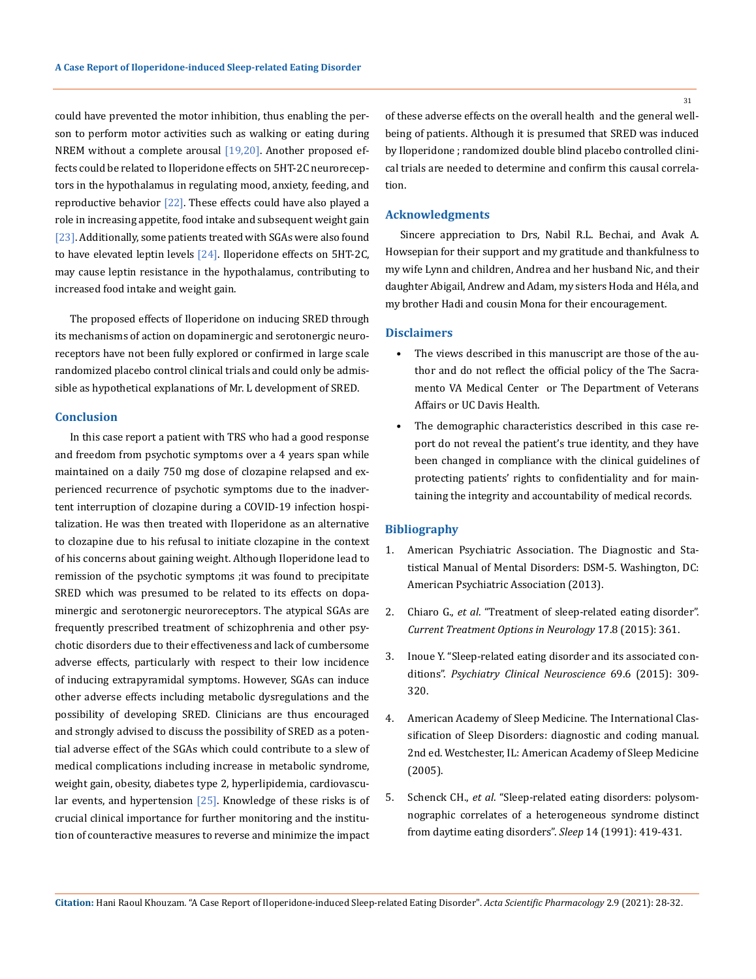could have prevented the motor inhibition, thus enabling the person to perform motor activities such as walking or eating during NREM without a complete arousal  $[19,20]$ . Another proposed effects could be related to Iloperidone effects on 5HT-2C neuroreceptors in the hypothalamus in regulating mood, anxiety, feeding, and reproductive behavior  $[22]$ . These effects could have also played a role in increasing appetite, food intake and subsequent weight gain [23]. Additionally, some patients treated with SGAs were also found to have elevated leptin levels [24]. Iloperidone effects on 5HT-2C, may cause leptin resistance in the hypothalamus, contributing to increased food intake and weight gain.

The proposed effects of Iloperidone on inducing SRED through its mechanisms of action on dopaminergic and serotonergic neuroreceptors have not been fully explored or confirmed in large scale randomized placebo control clinical trials and could only be admissible as hypothetical explanations of Mr. L development of SRED.

## **Conclusion**

In this case report a patient with TRS who had a good response and freedom from psychotic symptoms over a 4 years span while maintained on a daily 750 mg dose of clozapine relapsed and experienced recurrence of psychotic symptoms due to the inadvertent interruption of clozapine during a COVID-19 infection hospitalization. He was then treated with Iloperidone as an alternative to clozapine due to his refusal to initiate clozapine in the context of his concerns about gaining weight. Although Iloperidone lead to remission of the psychotic symptoms ;it was found to precipitate SRED which was presumed to be related to its effects on dopaminergic and serotonergic neuroreceptors. The atypical SGAs are frequently prescribed treatment of schizophrenia and other psychotic disorders due to their effectiveness and lack of cumbersome adverse effects, particularly with respect to their low incidence of inducing extrapyramidal symptoms. However, SGAs can induce other adverse effects including metabolic dysregulations and the possibility of developing SRED. Clinicians are thus encouraged and strongly advised to discuss the possibility of SRED as a potential adverse effect of the SGAs which could contribute to a slew of medical complications including increase in metabolic syndrome, weight gain, obesity, diabetes type 2, hyperlipidemia, cardiovascular events, and hypertension [25]. Knowledge of these risks is of crucial clinical importance for further monitoring and the institution of counteractive measures to reverse and minimize the impact

of these adverse effects on the overall health and the general wellbeing of patients. Although it is presumed that SRED was induced by Iloperidone ; randomized double blind placebo controlled clinical trials are needed to determine and confirm this causal correlation.

#### **Acknowledgments**

Sincere appreciation to Drs, Nabil R.L. Bechai, and Avak A. Howsepian for their support and my gratitude and thankfulness to my wife Lynn and children, Andrea and her husband Nic, and their daughter Abigail, Andrew and Adam, my sisters Hoda and Héla, and my brother Hadi and cousin Mona for their encouragement.

## **Disclaimers**

- The views described in this manuscript are those of the author and do not reflect the official policy of the The Sacramento VA Medical Center or The Department of Veterans Affairs or UC Davis Health.
- The demographic characteristics described in this case report do not reveal the patient's true identity, and they have been changed in compliance with the clinical guidelines of protecting patients' rights to confidentiality and for maintaining the integrity and accountability of medical records.

## **Bibliography**

- 1. American Psychiatric Association. The Diagnostic and Statistical Manual of Mental Disorders: DSM-5. Washington, DC: American Psychiatric Association (2013).
- 2. Chiaro G., *et al*[. "Treatment of sleep-related eating disorder".](https://pubmed.ncbi.nlm.nih.gov/26037737/)  *[Current Treatment Options in Neurology](https://pubmed.ncbi.nlm.nih.gov/26037737/)* 17.8 (2015): 361.
- 3. [Inoue Y. "Sleep-related eating disorder and its associated con](https://pubmed.ncbi.nlm.nih.gov/25495278/)ditions". *[Psychiatry Clinical Neuroscience](https://pubmed.ncbi.nlm.nih.gov/25495278/)* 69.6 (2015): 309- [320.](https://pubmed.ncbi.nlm.nih.gov/25495278/)
- 4. American Academy of Sleep Medicine. The International Classification of Sleep Disorders: diagnostic and coding manual. 2nd ed. Westchester, IL: American Academy of Sleep Medicine (2005).
- 5. Schenck CH., *et al*[. "Sleep-related eating disorders: polysom](https://pubmed.ncbi.nlm.nih.gov/1759095/)[nographic correlates of a heterogeneous syndrome distinct](https://pubmed.ncbi.nlm.nih.gov/1759095/)  [from daytime eating disorders".](https://pubmed.ncbi.nlm.nih.gov/1759095/) *Sleep* 14 (1991): 419-431.

31